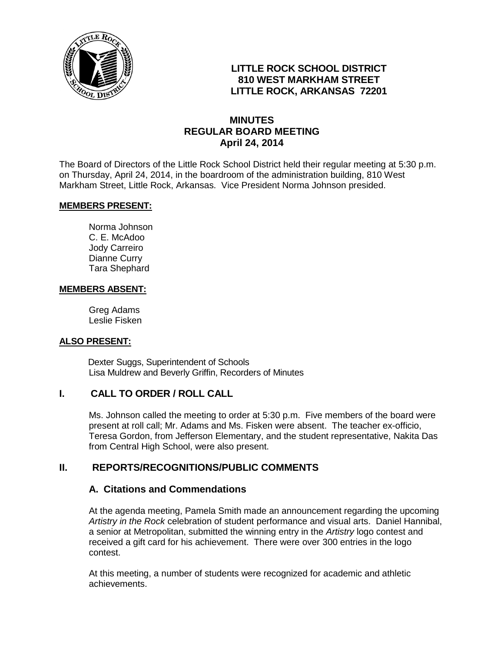

## **LITTLE ROCK SCHOOL DISTRICT 810 WEST MARKHAM STREET LITTLE ROCK, ARKANSAS 72201**

## **MINUTES REGULAR BOARD MEETING April 24, 2014**

The Board of Directors of the Little Rock School District held their regular meeting at 5:30 p.m. on Thursday, April 24, 2014, in the boardroom of the administration building, 810 West Markham Street, Little Rock, Arkansas. Vice President Norma Johnson presided.

#### **MEMBERS PRESENT:**

Norma Johnson C. E. McAdoo Jody Carreiro Dianne Curry Tara Shephard

#### **MEMBERS ABSENT:**

Greg Adams Leslie Fisken

#### **ALSO PRESENT:**

 Dexter Suggs, Superintendent of Schools Lisa Muldrew and Beverly Griffin, Recorders of Minutes

#### **I. CALL TO ORDER / ROLL CALL**

Ms. Johnson called the meeting to order at 5:30 p.m. Five members of the board were present at roll call; Mr. Adams and Ms. Fisken were absent. The teacher ex-officio, Teresa Gordon, from Jefferson Elementary, and the student representative, Nakita Das from Central High School, were also present.

## **II. REPORTS/RECOGNITIONS/PUBLIC COMMENTS**

#### **A. Citations and Commendations**

At the agenda meeting, Pamela Smith made an announcement regarding the upcoming *Artistry in the Rock* celebration of student performance and visual arts. Daniel Hannibal, a senior at Metropolitan, submitted the winning entry in the *Artistry* logo contest and received a gift card for his achievement. There were over 300 entries in the logo contest.

At this meeting, a number of students were recognized for academic and athletic achievements.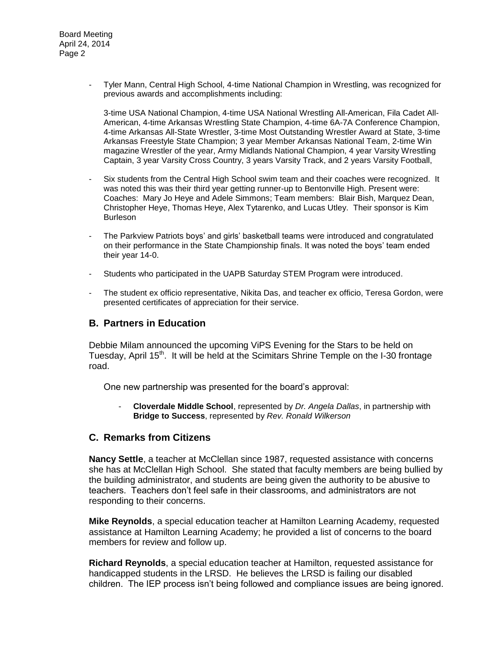- Tyler Mann, Central High School, 4-time National Champion in Wrestling, was recognized for previous awards and accomplishments including:

3-time USA National Champion, 4-time USA National Wrestling All-American, Fila Cadet All-American, 4-time Arkansas Wrestling State Champion, 4-time 6A-7A Conference Champion, 4-time Arkansas All-State Wrestler, 3-time Most Outstanding Wrestler Award at State, 3-time Arkansas Freestyle State Champion; 3 year Member Arkansas National Team, 2-time Win magazine Wrestler of the year, Army Midlands National Champion, 4 year Varsity Wrestling Captain, 3 year Varsity Cross Country, 3 years Varsity Track, and 2 years Varsity Football,

- Six students from the Central High School swim team and their coaches were recognized. It was noted this was their third year getting runner-up to Bentonville High. Present were: Coaches: Mary Jo Heye and Adele Simmons; Team members: Blair Bish, Marquez Dean, Christopher Heye, Thomas Heye, Alex Tytarenko, and Lucas Utley. Their sponsor is Kim Burleson
- The Parkview Patriots boys' and girls' basketball teams were introduced and congratulated on their performance in the State Championship finals. It was noted the boys' team ended their year 14-0.
- Students who participated in the UAPB Saturday STEM Program were introduced.
- The student ex officio representative, Nikita Das, and teacher ex officio, Teresa Gordon, were presented certificates of appreciation for their service.

#### **B. Partners in Education**

Debbie Milam announced the upcoming ViPS Evening for the Stars to be held on Tuesday, April 15<sup>th</sup>. It will be held at the Scimitars Shrine Temple on the I-30 frontage road.

One new partnership was presented for the board's approval:

- **Cloverdale Middle School**, represented by *Dr. Angela Dallas*, in partnership with **Bridge to Success**, represented by *Rev. Ronald Wilkerson*

#### **C. Remarks from Citizens**

**Nancy Settle**, a teacher at McClellan since 1987, requested assistance with concerns she has at McClellan High School. She stated that faculty members are being bullied by the building administrator, and students are being given the authority to be abusive to teachers. Teachers don't feel safe in their classrooms, and administrators are not responding to their concerns.

**Mike Reynolds**, a special education teacher at Hamilton Learning Academy, requested assistance at Hamilton Learning Academy; he provided a list of concerns to the board members for review and follow up.

**Richard Reynolds**, a special education teacher at Hamilton, requested assistance for handicapped students in the LRSD. He believes the LRSD is failing our disabled children. The IEP process isn't being followed and compliance issues are being ignored.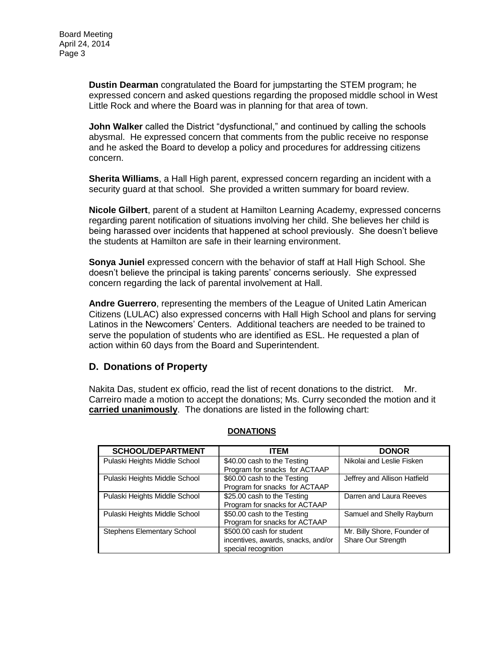**Dustin Dearman** congratulated the Board for jumpstarting the STEM program; he expressed concern and asked questions regarding the proposed middle school in West Little Rock and where the Board was in planning for that area of town.

**John Walker** called the District "dysfunctional," and continued by calling the schools abysmal. He expressed concern that comments from the public receive no response and he asked the Board to develop a policy and procedures for addressing citizens concern.

**Sherita Williams**, a Hall High parent, expressed concern regarding an incident with a security guard at that school. She provided a written summary for board review.

**Nicole Gilbert**, parent of a student at Hamilton Learning Academy, expressed concerns regarding parent notification of situations involving her child. She believes her child is being harassed over incidents that happened at school previously. She doesn't believe the students at Hamilton are safe in their learning environment.

**Sonya Juniel** expressed concern with the behavior of staff at Hall High School. She doesn't believe the principal is taking parents' concerns seriously. She expressed concern regarding the lack of parental involvement at Hall.

**Andre Guerrero**, representing the members of the League of United Latin American Citizens (LULAC) also expressed concerns with Hall High School and plans for serving Latinos in the Newcomers' Centers. Additional teachers are needed to be trained to serve the population of students who are identified as ESL. He requested a plan of action within 60 days from the Board and Superintendent.

## **D. Donations of Property**

Nakita Das, student ex officio, read the list of recent donations to the district. Mr. Carreiro made a motion to accept the donations; Ms. Curry seconded the motion and it **carried unanimously**. The donations are listed in the following chart:

| <b>SCHOOL/DEPARTMENT</b>      | ITEM                               | <b>DONOR</b>                 |
|-------------------------------|------------------------------------|------------------------------|
| Pulaski Heights Middle School | \$40.00 cash to the Testing        | Nikolai and Leslie Fisken    |
|                               | Program for snacks for ACTAAP      |                              |
| Pulaski Heights Middle School | \$60.00 cash to the Testing        | Jeffrey and Allison Hatfield |
|                               | Program for snacks for ACTAAP      |                              |
| Pulaski Heights Middle School | \$25.00 cash to the Testing        | Darren and Laura Reeves      |
|                               | Program for snacks for ACTAAP      |                              |
| Pulaski Heights Middle School | \$50.00 cash to the Testing        | Samuel and Shelly Rayburn    |
|                               | Program for snacks for ACTAAP      |                              |
| Stephens Elementary School    | \$500,00 cash for student          | Mr. Billy Shore, Founder of  |
|                               | incentives, awards, snacks, and/or | Share Our Strength           |
|                               | special recognition                |                              |

#### **DONATIONS**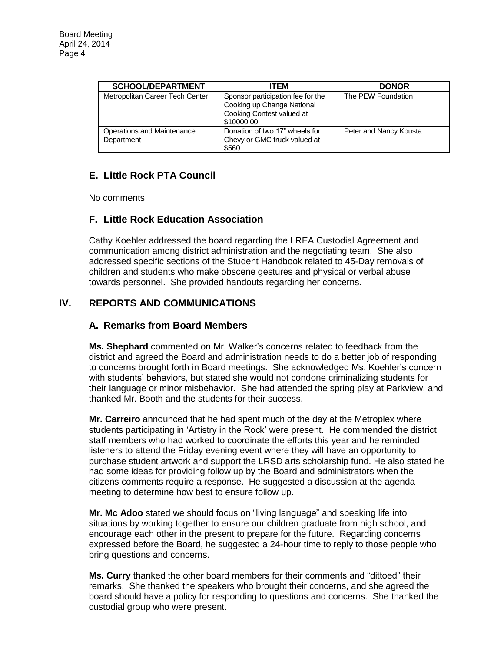| <b>SCHOOL/DEPARTMENT</b>                 | ITEM                                                                                                       | <b>DONOR</b>           |  |
|------------------------------------------|------------------------------------------------------------------------------------------------------------|------------------------|--|
| Metropolitan Career Tech Center          | Sponsor participation fee for the<br>Cooking up Change National<br>Cooking Contest valued at<br>\$10000.00 | The PEW Foundation     |  |
| Operations and Maintenance<br>Department | Donation of two 17" wheels for<br>Chevy or GMC truck valued at<br>\$560                                    | Peter and Nancy Kousta |  |

# **E. Little Rock PTA Council**

No comments

## **F. Little Rock Education Association**

Cathy Koehler addressed the board regarding the LREA Custodial Agreement and communication among district administration and the negotiating team. She also addressed specific sections of the Student Handbook related to 45-Day removals of children and students who make obscene gestures and physical or verbal abuse towards personnel. She provided handouts regarding her concerns.

# **IV. REPORTS AND COMMUNICATIONS**

## **A. Remarks from Board Members**

**Ms. Shephard** commented on Mr. Walker's concerns related to feedback from the district and agreed the Board and administration needs to do a better job of responding to concerns brought forth in Board meetings. She acknowledged Ms. Koehler's concern with students' behaviors, but stated she would not condone criminalizing students for their language or minor misbehavior. She had attended the spring play at Parkview, and thanked Mr. Booth and the students for their success.

**Mr. Carreiro** announced that he had spent much of the day at the Metroplex where students participating in 'Artistry in the Rock' were present. He commended the district staff members who had worked to coordinate the efforts this year and he reminded listeners to attend the Friday evening event where they will have an opportunity to purchase student artwork and support the LRSD arts scholarship fund. He also stated he had some ideas for providing follow up by the Board and administrators when the citizens comments require a response. He suggested a discussion at the agenda meeting to determine how best to ensure follow up.

**Mr. Mc Adoo** stated we should focus on "living language" and speaking life into situations by working together to ensure our children graduate from high school, and encourage each other in the present to prepare for the future. Regarding concerns expressed before the Board, he suggested a 24-hour time to reply to those people who bring questions and concerns.

**Ms. Curry** thanked the other board members for their comments and "dittoed" their remarks. She thanked the speakers who brought their concerns, and she agreed the board should have a policy for responding to questions and concerns. She thanked the custodial group who were present.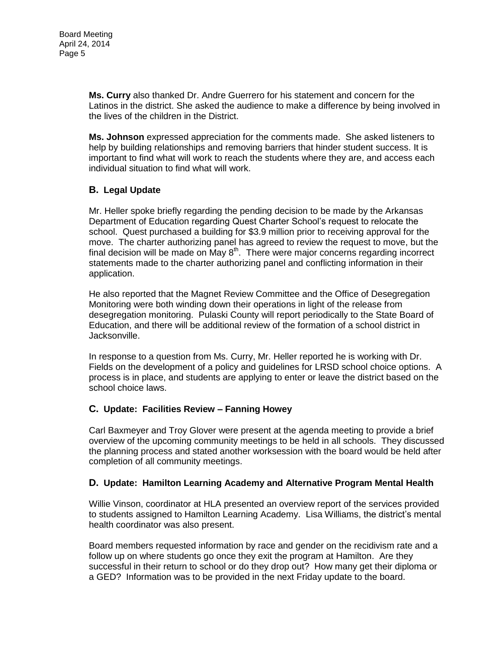**Ms. Curry** also thanked Dr. Andre Guerrero for his statement and concern for the Latinos in the district. She asked the audience to make a difference by being involved in the lives of the children in the District.

**Ms. Johnson** expressed appreciation for the comments made. She asked listeners to help by building relationships and removing barriers that hinder student success. It is important to find what will work to reach the students where they are, and access each individual situation to find what will work.

## **B. Legal Update**

Mr. Heller spoke briefly regarding the pending decision to be made by the Arkansas Department of Education regarding Quest Charter School's request to relocate the school. Quest purchased a building for \$3.9 million prior to receiving approval for the move. The charter authorizing panel has agreed to review the request to move, but the final decision will be made on May  $8<sup>th</sup>$ . There were major concerns regarding incorrect statements made to the charter authorizing panel and conflicting information in their application.

He also reported that the Magnet Review Committee and the Office of Desegregation Monitoring were both winding down their operations in light of the release from desegregation monitoring. Pulaski County will report periodically to the State Board of Education, and there will be additional review of the formation of a school district in Jacksonville.

In response to a question from Ms. Curry, Mr. Heller reported he is working with Dr. Fields on the development of a policy and guidelines for LRSD school choice options. A process is in place, and students are applying to enter or leave the district based on the school choice laws.

## **C. Update: Facilities Review – Fanning Howey**

Carl Baxmeyer and Troy Glover were present at the agenda meeting to provide a brief overview of the upcoming community meetings to be held in all schools. They discussed the planning process and stated another worksession with the board would be held after completion of all community meetings.

## **D. Update: Hamilton Learning Academy and Alternative Program Mental Health**

Willie Vinson, coordinator at HLA presented an overview report of the services provided to students assigned to Hamilton Learning Academy. Lisa Williams, the district's mental health coordinator was also present.

Board members requested information by race and gender on the recidivism rate and a follow up on where students go once they exit the program at Hamilton. Are they successful in their return to school or do they drop out? How many get their diploma or a GED? Information was to be provided in the next Friday update to the board.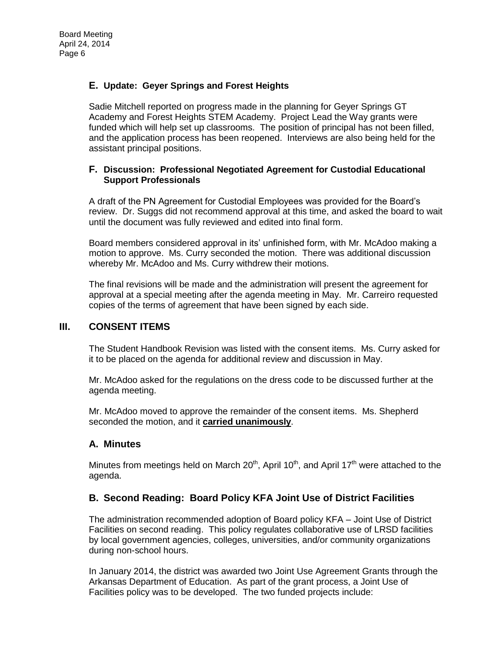#### **E. Update: Geyer Springs and Forest Heights**

Sadie Mitchell reported on progress made in the planning for Geyer Springs GT Academy and Forest Heights STEM Academy. Project Lead the Way grants were funded which will help set up classrooms. The position of principal has not been filled, and the application process has been reopened. Interviews are also being held for the assistant principal positions.

#### **F. Discussion: Professional Negotiated Agreement for Custodial Educational Support Professionals**

A draft of the PN Agreement for Custodial Employees was provided for the Board's review. Dr. Suggs did not recommend approval at this time, and asked the board to wait until the document was fully reviewed and edited into final form.

Board members considered approval in its' unfinished form, with Mr. McAdoo making a motion to approve. Ms. Curry seconded the motion. There was additional discussion whereby Mr. McAdoo and Ms. Curry withdrew their motions.

The final revisions will be made and the administration will present the agreement for approval at a special meeting after the agenda meeting in May. Mr. Carreiro requested copies of the terms of agreement that have been signed by each side.

#### **III. CONSENT ITEMS**

The Student Handbook Revision was listed with the consent items. Ms. Curry asked for it to be placed on the agenda for additional review and discussion in May.

Mr. McAdoo asked for the regulations on the dress code to be discussed further at the agenda meeting.

Mr. McAdoo moved to approve the remainder of the consent items. Ms. Shepherd seconded the motion, and it **carried unanimously**.

#### **A. Minutes**

Minutes from meetings held on March 20<sup>th</sup>, April 10<sup>th</sup>, and April 17<sup>th</sup> were attached to the agenda.

## **B. Second Reading: Board Policy KFA Joint Use of District Facilities**

The administration recommended adoption of Board policy KFA – Joint Use of District Facilities on second reading. This policy regulates collaborative use of LRSD facilities by local government agencies, colleges, universities, and/or community organizations during non-school hours.

In January 2014, the district was awarded two Joint Use Agreement Grants through the Arkansas Department of Education. As part of the grant process, a Joint Use of Facilities policy was to be developed. The two funded projects include: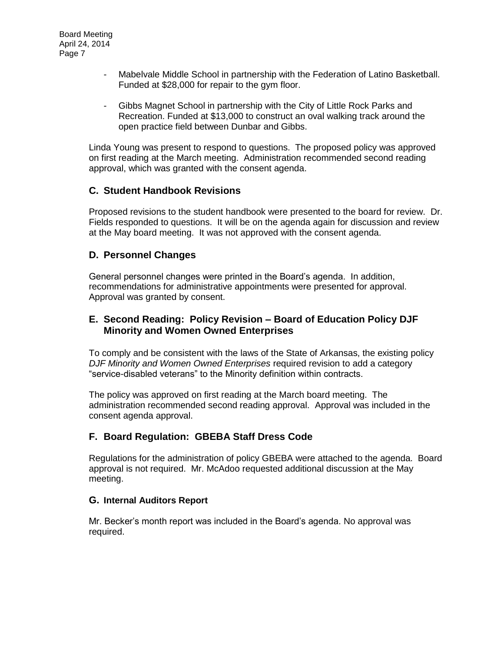- Mabelvale Middle School in partnership with the Federation of Latino Basketball. Funded at \$28,000 for repair to the gym floor.
- Gibbs Magnet School in partnership with the City of Little Rock Parks and Recreation. Funded at \$13,000 to construct an oval walking track around the open practice field between Dunbar and Gibbs.

Linda Young was present to respond to questions. The proposed policy was approved on first reading at the March meeting. Administration recommended second reading approval, which was granted with the consent agenda.

## **C. Student Handbook Revisions**

Proposed revisions to the student handbook were presented to the board for review. Dr. Fields responded to questions. It will be on the agenda again for discussion and review at the May board meeting. It was not approved with the consent agenda.

#### **D. Personnel Changes**

General personnel changes were printed in the Board's agenda. In addition, recommendations for administrative appointments were presented for approval. Approval was granted by consent.

#### **E. Second Reading: Policy Revision – Board of Education Policy DJF Minority and Women Owned Enterprises**

To comply and be consistent with the laws of the State of Arkansas, the existing policy *DJF Minority and Women Owned Enterprises* required revision to add a category "service-disabled veterans" to the Minority definition within contracts.

The policy was approved on first reading at the March board meeting. The administration recommended second reading approval. Approval was included in the consent agenda approval.

## **F. Board Regulation: GBEBA Staff Dress Code**

Regulations for the administration of policy GBEBA were attached to the agenda. Board approval is not required. Mr. McAdoo requested additional discussion at the May meeting.

#### **G. Internal Auditors Report**

Mr. Becker's month report was included in the Board's agenda. No approval was required.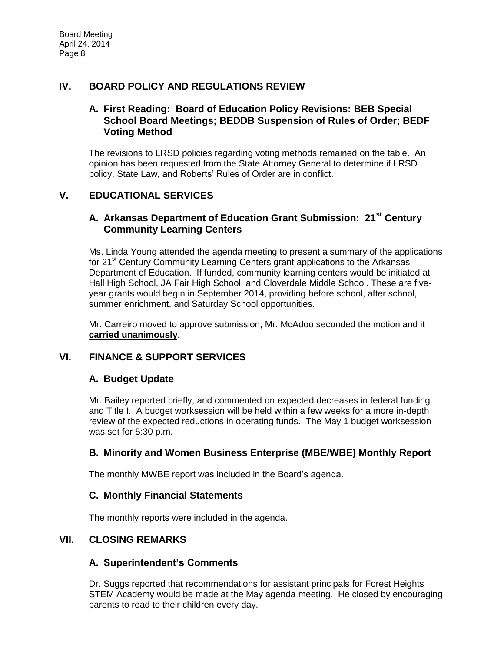## **IV. BOARD POLICY AND REGULATIONS REVIEW**

#### **A. First Reading: Board of Education Policy Revisions: BEB Special School Board Meetings; BEDDB Suspension of Rules of Order; BEDF Voting Method**

The revisions to LRSD policies regarding voting methods remained on the table. An opinion has been requested from the State Attorney General to determine if LRSD policy, State Law, and Roberts' Rules of Order are in conflict.

## **V. EDUCATIONAL SERVICES**

## **A. Arkansas Department of Education Grant Submission: 21st Century Community Learning Centers**

Ms. Linda Young attended the agenda meeting to present a summary of the applications for 21<sup>st</sup> Century Community Learning Centers grant applications to the Arkansas Department of Education. If funded, community learning centers would be initiated at Hall High School, JA Fair High School, and Cloverdale Middle School. These are fiveyear grants would begin in September 2014, providing before school, after school, summer enrichment, and Saturday School opportunities.

Mr. Carreiro moved to approve submission; Mr. McAdoo seconded the motion and it **carried unanimously**.

## **VI. FINANCE & SUPPORT SERVICES**

## **A. Budget Update**

Mr. Bailey reported briefly, and commented on expected decreases in federal funding and Title I. A budget worksession will be held within a few weeks for a more in-depth review of the expected reductions in operating funds. The May 1 budget worksession was set for 5:30 p.m.

## **B. Minority and Women Business Enterprise (MBE/WBE) Monthly Report**

The monthly MWBE report was included in the Board's agenda.

## **C. Monthly Financial Statements**

The monthly reports were included in the agenda.

## **VII. CLOSING REMARKS**

## **A. Superintendent's Comments**

Dr. Suggs reported that recommendations for assistant principals for Forest Heights STEM Academy would be made at the May agenda meeting. He closed by encouraging parents to read to their children every day.